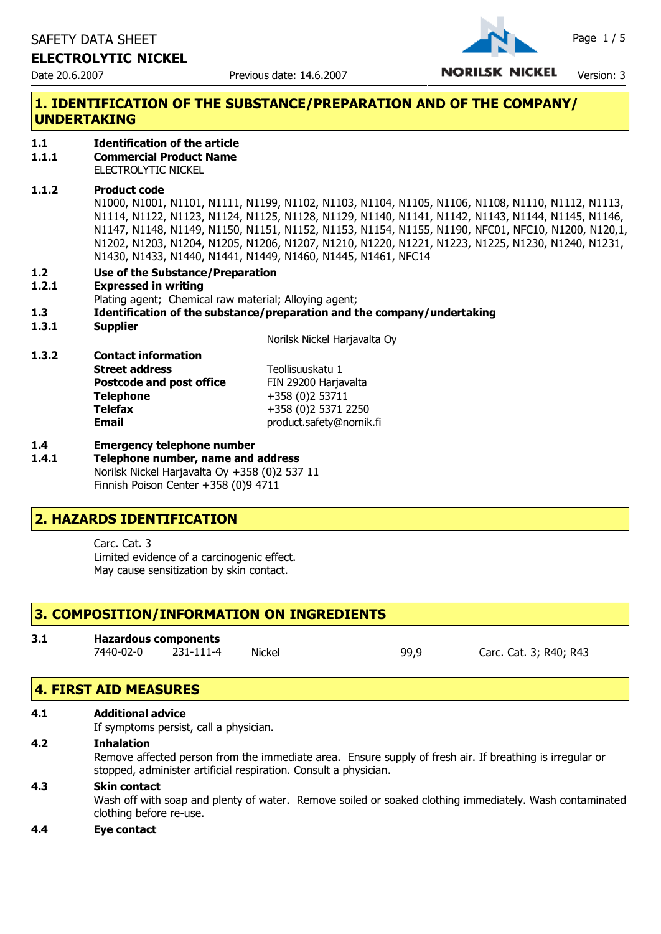SAFETY DATA SHEET Page 1/5

## **ELECTROLYTIC NICKEL**



Date 20.6.2007 **Previous date: 14.6.2007 NORILSK NICKEL** Version: 3

# **1. IDENTIFICATION OF THE SUBSTANCE/PREPARATION AND OF THE COMPANY/ UNDERTAKING**

- **1.1 Identification of the article**
- **1.1.1 Commercial Product Name**

ELECTROLYTIC NICKEL

#### **1.1.2 Product code**

N1000, N1001, N1101, N1111, N1199, N1102, N1103, N1104, N1105, N1106, N1108, N1110, N1112, N1113, N1114, N1122, N1123, N1124, N1125, N1128, N1129, N1140, N1141, N1142, N1143, N1144, N1145, N1146, N1147, N1148, N1149, N1150, N1151, N1152, N1153, N1154, N1155, N1190, NFC01, NFC10, N1200, N120,1, N1202, N1203, N1204, N1205, N1206, N1207, N1210, N1220, N1221, N1223, N1225, N1230, N1240, N1231, N1430, N1433, N1440, N1441, N1449, N1460, N1445, N1461, NFC14

**1.2 Use of the Substance/Preparation**

#### **1.2.1 Expressed in writing**

**1.3.2 Contact information**

Plating agent; Chemical raw material; Alloying agent;

**1.3 Identification of the substance/preparation and the company/undertaking**

#### **1.3.1 Supplier**

Norilsk Nickel Harjavalta Oy

| 1.J.Z | Contact Information             |                          |
|-------|---------------------------------|--------------------------|
|       | <b>Street address</b>           | Teollisuuskatu 1         |
|       | <b>Postcode and post office</b> | FIN 29200 Harjavalta     |
|       | <b>Telephone</b>                | +358 (0)2 53711          |
|       | <b>Telefax</b>                  | +358 (0)2 5371 2250      |
|       | Email                           | product.safety@nornik.fi |
|       |                                 |                          |

### **1.4 Emergency telephone number**

**1.4.1 Telephone number, name and address** Norilsk Nickel Harjavalta Oy +358 (0)2 537 11 Finnish Poison Center +358 (0)9 4711

## **2. HAZARDS IDENTIFICATION**

Carc. Cat. 3 Limited evidence of a carcinogenic effect. May cause sensitization by skin contact.

## **3. COMPOSITION/INFORMATION ON INGREDIENTS**

| 3.1 | <b>Hazardous components</b> |           |        |      |
|-----|-----------------------------|-----------|--------|------|
|     | 7440-02-0                   | 231-111-4 | Nickel | 99,9 |

Carc. Cat. 3; R40; R43

## **4. FIRST AID MEASURES**

#### **4.1 Additional advice**

If symptoms persist, call a physician.

#### **4.2 Inhalation**

Remove affected person from the immediate area. Ensure supply of fresh air. If breathing is irregular or stopped, administer artificial respiration. Consult a physician.

#### **4.3 Skin contact**

Wash off with soap and plenty of water. Remove soiled or soaked clothing immediately. Wash contaminated clothing before re-use.

#### **4.4 Eye contact**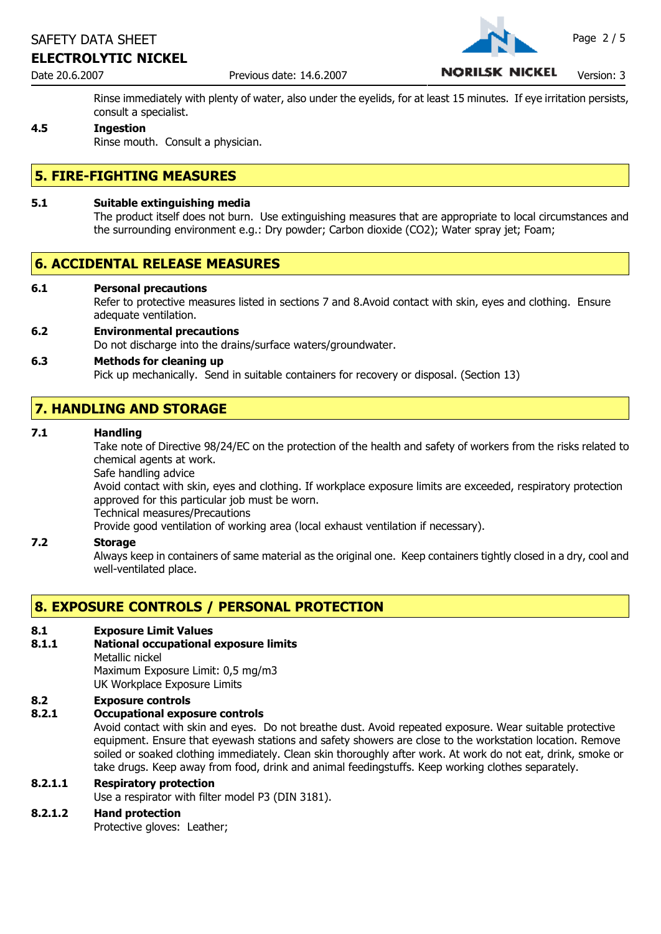## **ELECTROLYTIC NICKEL**

Date 20.6.2007 **Previous date: 14.6.2007 NORILSK NICKEL** Version: 3

Rinse immediately with plenty of water, also under the eyelids, for at least 15 minutes. If eye irritation persists, consult a specialist.

## **4.5 Ingestion**

Rinse mouth. Consult a physician.

## **5. FIRE-FIGHTING MEASURES**

#### **5.1 Suitable extinguishing media**

The product itself does not burn. Use extinguishing measures that are appropriate to local circumstances and the surrounding environment e.g.: Dry powder; Carbon dioxide (CO2); Water spray jet; Foam;

## **6. ACCIDENTAL RELEASE MEASURES**

#### **6.1 Personal precautions**

Refer to protective measures listed in sections 7 and 8.Avoid contact with skin, eyes and clothing. Ensure adequate ventilation.

**6.2 Environmental precautions** Do not discharge into the drains/surface waters/groundwater.

## **6.3 Methods for cleaning up** Pick up mechanically. Send in suitable containers for recovery or disposal. (Section 13)

# **7. HANDLING AND STORAGE**

#### **7.1 Handling**

Take note of Directive 98/24/EC on the protection of the health and safety of workers from the risks related to chemical agents at work.

Safe handling advice

Avoid contact with skin, eyes and clothing. If workplace exposure limits are exceeded, respiratory protection approved for this particular job must be worn.

Technical measures/Precautions

Provide good ventilation of working area (local exhaust ventilation if necessary).

#### **7.2 Storage**

Always keep in containers of same material as the original one. Keep containers tightly closed in a dry, cool and well-ventilated place.

## **8. EXPOSURE CONTROLS / PERSONAL PROTECTION**

#### **8.1 Exposure Limit Values**

#### **8.1.1 National occupational exposure limits**

Metallic nickel

Maximum Exposure Limit: 0,5 mg/m3 UK Workplace Exposure Limits

#### **8.2 Exposure controls**

#### **8.2.1 Occupational exposure controls**

Avoid contact with skin and eyes. Do not breathe dust. Avoid repeated exposure. Wear suitable protective equipment. Ensure that eyewash stations and safety showers are close to the workstation location. Remove soiled or soaked clothing immediately. Clean skin thoroughly after work. At work do not eat, drink, smoke or take drugs. Keep away from food, drink and animal feedingstuffs. Keep working clothes separately.

#### **8.2.1.1 Respiratory protection**

Use a respirator with filter model P3 (DIN 3181).

#### **8.2.1.2 Hand protection**

Protective gloves: Leather;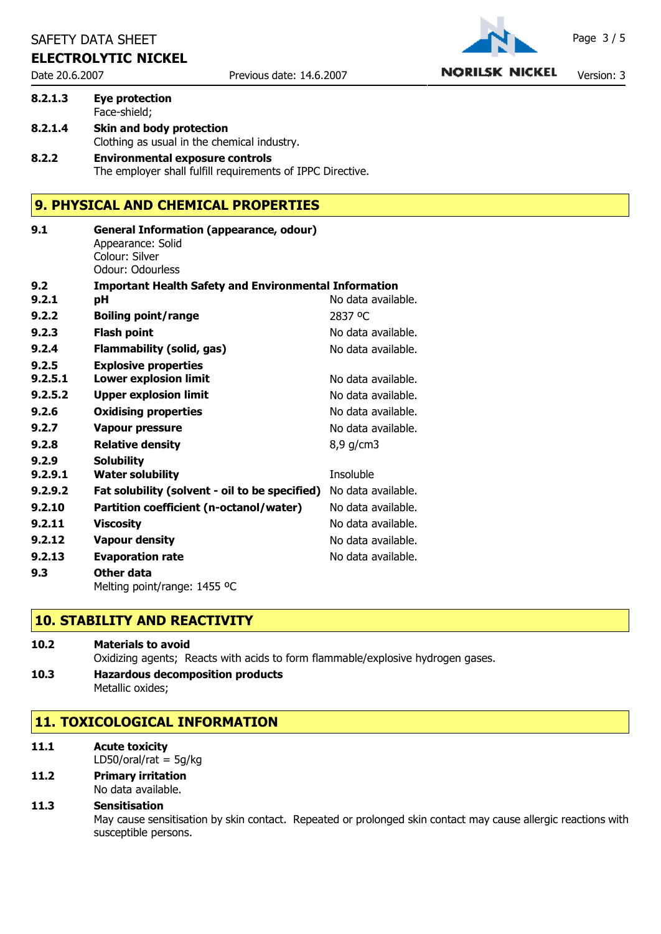## **ELECTROLYTIC NICKEL**



Date 20.6.2007 **Previous date: 14.6.2007 NORILSK NICKEL** Version: 3

## **8.2.1.3 Eye protection** Face-shield; **8.2.1.4 Skin and body protection** Clothing as usual in the chemical industry.

**8.2.2 Environmental exposure controls** The employer shall fulfill requirements of IPPC Directive.

## **9. PHYSICAL AND CHEMICAL PROPERTIES**

| 9.1     | <b>General Information (appearance, odour)</b><br>Appearance: Solid<br>Colour: Silver<br>Odour: Odourless |                    |
|---------|-----------------------------------------------------------------------------------------------------------|--------------------|
| 9.2     | <b>Important Health Safety and Environmental Information</b>                                              |                    |
| 9.2.1   | рH                                                                                                        | No data available. |
| 9.2.2   | <b>Boiling point/range</b>                                                                                | 2837 °C            |
| 9.2.3   | <b>Flash point</b>                                                                                        | No data available. |
| 9.2.4   | Flammability (solid, gas)                                                                                 | No data available. |
| 9.2.5   | <b>Explosive properties</b>                                                                               |                    |
| 9.2.5.1 | <b>Lower explosion limit</b>                                                                              | No data available. |
| 9.2.5.2 | <b>Upper explosion limit</b>                                                                              | No data available. |
| 9.2.6   | <b>Oxidising properties</b>                                                                               | No data available. |
| 9.2.7   | <b>Vapour pressure</b>                                                                                    | No data available. |
| 9.2.8   | <b>Relative density</b>                                                                                   | $8,9$ g/cm3        |
| 9.2.9   | <b>Solubility</b>                                                                                         |                    |
| 9.2.9.1 | <b>Water solubility</b>                                                                                   | Insoluble          |
| 9.2.9.2 | Fat solubility (solvent - oil to be specified)                                                            | No data available. |
| 9.2.10  | Partition coefficient (n-octanol/water)                                                                   | No data available. |
| 9.2.11  | <b>Viscosity</b>                                                                                          | No data available. |
| 9.2.12  | <b>Vapour density</b>                                                                                     | No data available. |
| 9.2.13  | <b>Evaporation rate</b>                                                                                   | No data available. |
| 9.3     | Other data                                                                                                |                    |
|         | Melting point/range: 1455 °C                                                                              |                    |

# **10. STABILITY AND REACTIVITY**

| 10.2 | <b>Materials to avoid</b>                                                       |  |
|------|---------------------------------------------------------------------------------|--|
|      | Oxidizing agents; Reacts with acids to form flammable/explosive hydrogen gases. |  |

**10.3 Hazardous decomposition products** Metallic oxides;

# **11. TOXICOLOGICAL INFORMATION**

- **11.1 Acute toxicity** LD50/oral/rat  $=$  5g/kg
- **11.2 Primary irritation** No data available.

## **11.3 Sensitisation**

May cause sensitisation by skin contact. Repeated or prolonged skin contact may cause allergic reactions with susceptible persons.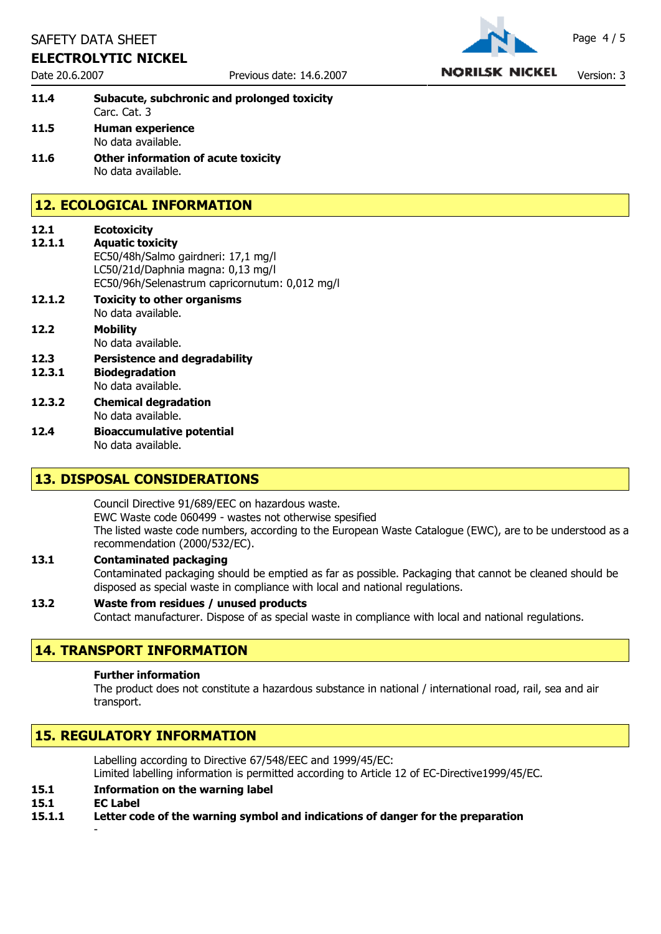## **ELECTROLYTIC NICKEL**

Date 20.6.2007 **Previous date: 14.6.2007 NORILSK NICKEL** Version: 3

| 11.4 | Subacute, subchronic and prolonged toxicity |  |
|------|---------------------------------------------|--|
|      | Carc. Cat. 3                                |  |
| 11.5 | <b>Human experience</b>                     |  |
|      | No data available.                          |  |

**11.6 Other information of acute toxicity** No data available.

# **12. ECOLOGICAL INFORMATION**

| 12.1<br>12.1.1 | <b>Ecotoxicity</b><br><b>Aquatic toxicity</b>                                                                              |
|----------------|----------------------------------------------------------------------------------------------------------------------------|
|                | EC50/48h/Salmo gairdneri: 17,1 mg/l<br>LC50/21d/Daphnia magna: 0,13 mg/l<br>EC50/96h/Selenastrum capricornutum: 0,012 mg/l |
| 12.1.2         | <b>Toxicity to other organisms</b><br>No data available.                                                                   |
| 12.2           | Mobility<br>No data available.                                                                                             |
| 12.3<br>12.3.1 | <b>Persistence and degradability</b><br><b>Biodegradation</b><br>No data available.                                        |

- **12.3.2 Chemical degradation** No data available.
- **12.4 Bioaccumulative potential** No data available.

## **13. DISPOSAL CONSIDERATIONS**

Council Directive 91/689/EEC on hazardous waste. EWC Waste code 060499 - wastes not otherwise spesified The listed waste code numbers, according to the European Waste Catalogue (EWC), are to be understood as a recommendation (2000/532/EC).

#### **13.1 Contaminated packaging** Contaminated packaging should be emptied as far as possible. Packaging that cannot be cleaned should be disposed as special waste in compliance with local and national regulations.

#### **13.2 Waste from residues / unused products** Contact manufacturer. Dispose of as special waste in compliance with local and national regulations.

# **14. TRANSPORT INFORMATION**

## **Further information**

The product does not constitute a hazardous substance in national / international road, rail, sea and air transport.

# **15. REGULATORY INFORMATION**

Labelling according to Directive 67/548/EEC and 1999/45/EC: Limited labelling information is permitted according to Article 12 of EC-Directive1999/45/EC.

- **15.1 Information on the warning label**
- **15.1 EC Label**

-

**15.1.1 Letter code of the warning symbol and indications of danger for the preparation**